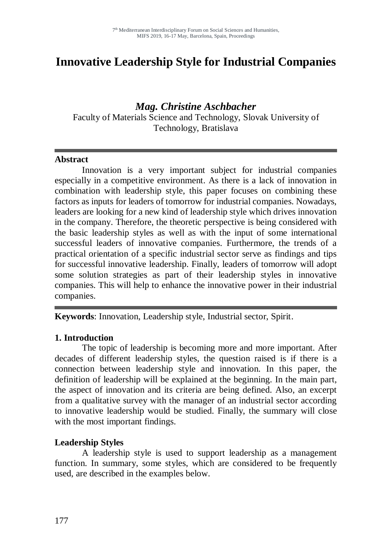# **Innovative Leadership Style for Industrial Companies**

## *Mag. Christine Aschbacher*

Faculty of Materials Science and Technology, Slovak University of Technology, Bratislava

#### **Abstract**

Innovation is a very important subject for industrial companies especially in a competitive environment. As there is a lack of innovation in combination with leadership style, this paper focuses on combining these factors as inputs for leaders of tomorrow for industrial companies. Nowadays, leaders are looking for a new kind of leadership style which drives innovation in the company. Therefore, the theoretic perspective is being considered with the basic leadership styles as well as with the input of some international successful leaders of innovative companies. Furthermore, the trends of a practical orientation of a specific industrial sector serve as findings and tips for successful innovative leadership. Finally, leaders of tomorrow will adopt some solution strategies as part of their leadership styles in innovative companies. This will help to enhance the innovative power in their industrial companies.

**Keywords**: Innovation, Leadership style, Industrial sector, Spirit.

#### **1. Introduction**

The topic of leadership is becoming more and more important. After decades of different leadership styles, the question raised is if there is a connection between leadership style and innovation. In this paper, the definition of leadership will be explained at the beginning. In the main part, the aspect of innovation and its criteria are being defined. Also, an excerpt from a qualitative survey with the manager of an industrial sector according to innovative leadership would be studied. Finally, the summary will close with the most important findings.

#### **Leadership Styles**

A leadership style is used to support leadership as a management function. In summary, some styles, which are considered to be frequently used, are described in the examples below.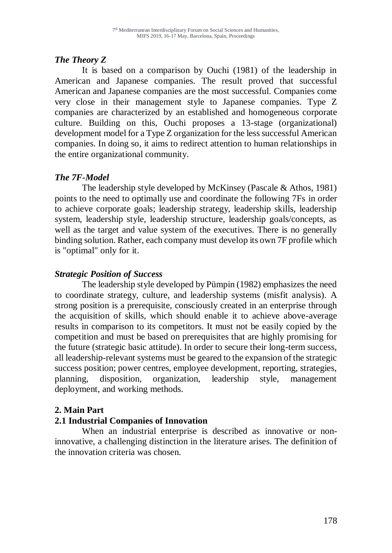# *The Theory Z*

It is based on a comparison by Ouchi (1981) of the leadership in American and Japanese companies. The result proved that successful American and Japanese companies are the most successful. Companies come very close in their management style to Japanese companies. Type Z companies are characterized by an established and homogeneous corporate culture. Building on this, Ouchi proposes a 13-stage (organizational) development model for a Type Z organization for the less successful American companies. In doing so, it aims to redirect attention to human relationships in the entire organizational community.

# *The 7F-Model*

The leadership style developed by McKinsey (Pascale & Athos, 1981) points to the need to optimally use and coordinate the following 7Fs in order to achieve corporate goals; leadership strategy, leadership skills, leadership system, leadership style, leadership structure, leadership goals/concepts, as well as the target and value system of the executives. There is no generally binding solution. Rather, each company must develop its own 7F profile which is "optimal" only for it.

# *Strategic Position of Success*

The leadership style developed by Pümpin (1982) emphasizes the need to coordinate strategy, culture, and leadership systems (misfit analysis). A strong position is a prerequisite, consciously created in an enterprise through the acquisition of skills, which should enable it to achieve above-average results in comparison to its competitors. It must not be easily copied by the competition and must be based on prerequisites that are highly promising for the future (strategic basic attitude). In order to secure their long-term success, all leadership-relevant systems must be geared to the expansion of the strategic success position; power centres, employee development, reporting, strategies, planning, disposition, organization, leadership style, management deployment, and working methods.

# **2. Main Part**

# **2.1 Industrial Companies of Innovation**

When an industrial enterprise is described as innovative or noninnovative, a challenging distinction in the literature arises. The definition of the innovation criteria was chosen.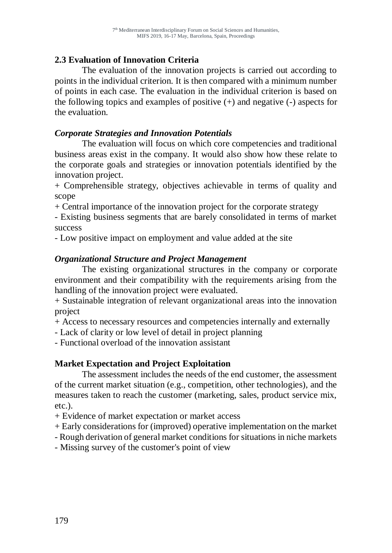## **2.3 Evaluation of Innovation Criteria**

The evaluation of the innovation projects is carried out according to points in the individual criterion. It is then compared with a minimum number of points in each case. The evaluation in the individual criterion is based on the following topics and examples of positive  $(+)$  and negative  $(-)$  aspects for the evaluation.

## *Corporate Strategies and Innovation Potentials*

The evaluation will focus on which core competencies and traditional business areas exist in the company. It would also show how these relate to the corporate goals and strategies or innovation potentials identified by the innovation project.

+ Comprehensible strategy, objectives achievable in terms of quality and scope

+ Central importance of the innovation project for the corporate strategy

- Existing business segments that are barely consolidated in terms of market success

- Low positive impact on employment and value added at the site

## *Organizational Structure and Project Management*

The existing organizational structures in the company or corporate environment and their compatibility with the requirements arising from the handling of the innovation project were evaluated.

+ Sustainable integration of relevant organizational areas into the innovation project

+ Access to necessary resources and competencies internally and externally

- Lack of clarity or low level of detail in project planning

- Functional overload of the innovation assistant

# **Market Expectation and Project Exploitation**

The assessment includes the needs of the end customer, the assessment of the current market situation (e.g., competition, other technologies), and the measures taken to reach the customer (marketing, sales, product service mix, etc.).

+ Evidence of market expectation or market access

+ Early considerations for (improved) operative implementation on the market

- Rough derivation of general market conditions for situations in niche markets

- Missing survey of the customer's point of view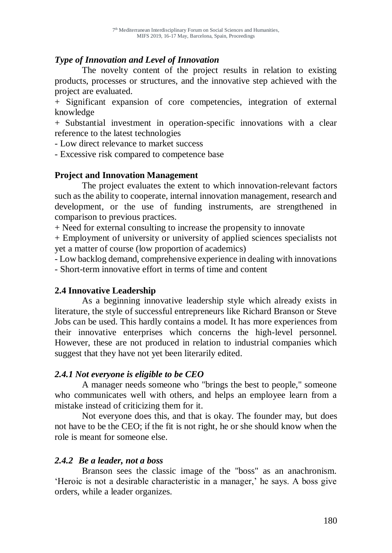#### *Type of Innovation and Level of Innovation*

The novelty content of the project results in relation to existing products, processes or structures, and the innovative step achieved with the project are evaluated.

+ Significant expansion of core competencies, integration of external knowledge

+ Substantial investment in operation-specific innovations with a clear reference to the latest technologies

- Low direct relevance to market success

- Excessive risk compared to competence base

#### **Project and Innovation Management**

The project evaluates the extent to which innovation-relevant factors such as the ability to cooperate, internal innovation management, research and development, or the use of funding instruments, are strengthened in comparison to previous practices.

+ Need for external consulting to increase the propensity to innovate

+ Employment of university or university of applied sciences specialists not yet a matter of course (low proportion of academics)

- Low backlog demand, comprehensive experience in dealing with innovations - Short-term innovative effort in terms of time and content

#### **2.4 Innovative Leadership**

As a beginning innovative leadership style which already exists in literature, the style of successful entrepreneurs like Richard Branson or Steve Jobs can be used. This hardly contains a model. It has more experiences from their innovative enterprises which concerns the high-level personnel. However, these are not produced in relation to industrial companies which suggest that they have not yet been literarily edited.

#### *2.4.1 Not everyone is eligible to be CEO*

A manager needs someone who "brings the best to people," someone who communicates well with others, and helps an employee learn from a mistake instead of criticizing them for it.

Not everyone does this, and that is okay. The founder may, but does not have to be the CEO; if the fit is not right, he or she should know when the role is meant for someone else.

#### *2.4.2 Be a leader, not a boss*

Branson sees the classic image of the "boss" as an anachronism. 'Heroic is not a desirable characteristic in a manager,' he says. A boss give orders, while a leader organizes.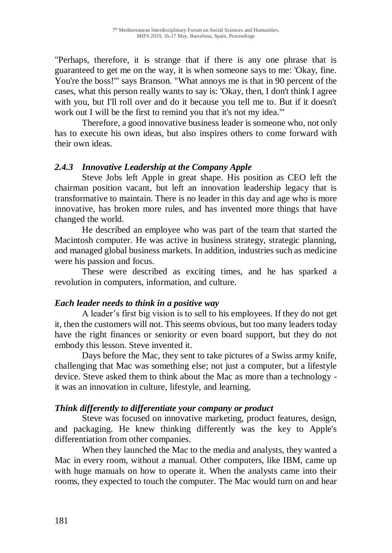"Perhaps, therefore, it is strange that if there is any one phrase that is guaranteed to get me on the way, it is when someone says to me: 'Okay, fine. You're the boss!'" says Branson. "What annoys me is that in 90 percent of the cases, what this person really wants to say is: 'Okay, then, I don't think I agree with you, but I'll roll over and do it because you tell me to. But if it doesn't work out I will be the first to remind you that it's not my idea.'"

Therefore, a good innovative business leader is someone who, not only has to execute his own ideas, but also inspires others to come forward with their own ideas.

#### *2.4.3 Innovative Leadership at the Company Apple*

Steve Jobs left Apple in great shape. His position as CEO left the chairman position vacant, but left an innovation leadership legacy that is transformative to maintain. There is no leader in this day and age who is more innovative, has broken more rules, and has invented more things that have changed the world.

He described an employee who was part of the team that started the Macintosh computer. He was active in business strategy, strategic planning, and managed global business markets. In addition, industries such as medicine were his passion and focus.

These were described as exciting times, and he has sparked a revolution in computers, information, and culture.

#### *Each leader needs to think in a positive way*

A leader's first big vision is to sell to his employees. If they do not get it, then the customers will not. This seems obvious, but too many leaders today have the right finances or seniority or even board support, but they do not embody this lesson. Steve invented it.

Days before the Mac, they sent to take pictures of a Swiss army knife, challenging that Mac was something else; not just a computer, but a lifestyle device. Steve asked them to think about the Mac as more than a technology it was an innovation in culture, lifestyle, and learning.

#### *Think differently to differentiate your company or product*

Steve was focused on innovative marketing, product features, design, and packaging. He knew thinking differently was the key to Apple's differentiation from other companies.

When they launched the Mac to the media and analysts, they wanted a Mac in every room, without a manual. Other computers, like IBM, came up with huge manuals on how to operate it. When the analysts came into their rooms, they expected to touch the computer. The Mac would turn on and hear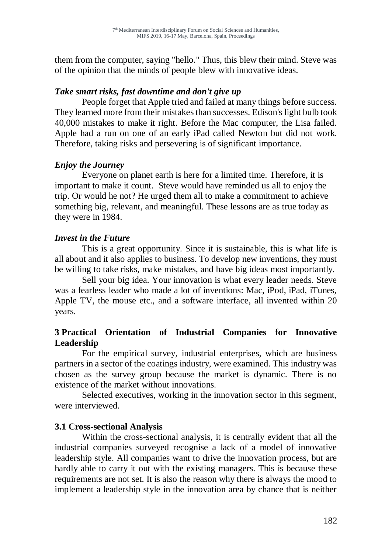them from the computer, saying "hello." Thus, this blew their mind. Steve was of the opinion that the minds of people blew with innovative ideas.

#### *Take smart risks, fast downtime and don't give up*

People forget that Apple tried and failed at many things before success. They learned more from their mistakes than successes. Edison's light bulb took 40,000 mistakes to make it right. Before the Mac computer, the Lisa failed. Apple had a run on one of an early iPad called Newton but did not work. Therefore, taking risks and persevering is of significant importance.

#### *Enjoy the Journey*

Everyone on planet earth is here for a limited time. Therefore, it is important to make it count. Steve would have reminded us all to enjoy the trip. Or would he not? He urged them all to make a commitment to achieve something big, relevant, and meaningful. These lessons are as true today as they were in 1984.

## *Invest in the Future*

This is a great opportunity. Since it is sustainable, this is what life is all about and it also applies to business. To develop new inventions, they must be willing to take risks, make mistakes, and have big ideas most importantly.

Sell your big idea. Your innovation is what every leader needs. Steve was a fearless leader who made a lot of inventions: Mac, iPod, iPad, iTunes, Apple TV, the mouse etc., and a software interface, all invented within 20 years.

## **3 Practical Orientation of Industrial Companies for Innovative Leadership**

For the empirical survey, industrial enterprises, which are business partners in a sector of the coatings industry, were examined. This industry was chosen as the survey group because the market is dynamic. There is no existence of the market without innovations.

Selected executives, working in the innovation sector in this segment, were interviewed.

#### **3.1 Cross-sectional Analysis**

Within the cross-sectional analysis, it is centrally evident that all the industrial companies surveyed recognise a lack of a model of innovative leadership style. All companies want to drive the innovation process, but are hardly able to carry it out with the existing managers. This is because these requirements are not set. It is also the reason why there is always the mood to implement a leadership style in the innovation area by chance that is neither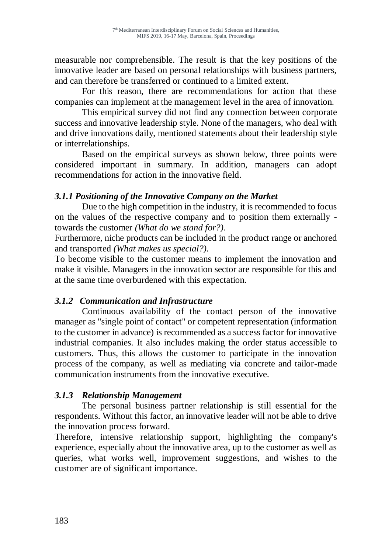measurable nor comprehensible. The result is that the key positions of the innovative leader are based on personal relationships with business partners, and can therefore be transferred or continued to a limited extent.

For this reason, there are recommendations for action that these companies can implement at the management level in the area of innovation.

This empirical survey did not find any connection between corporate success and innovative leadership style. None of the managers, who deal with and drive innovations daily, mentioned statements about their leadership style or interrelationships.

Based on the empirical surveys as shown below, three points were considered important in summary. In addition, managers can adopt recommendations for action in the innovative field.

## *3.1.1 Positioning of the Innovative Company on the Market*

Due to the high competition in the industry, it is recommended to focus on the values of the respective company and to position them externally towards the customer *(What do we stand for?)*.

Furthermore, niche products can be included in the product range or anchored and transported *(What makes us special?).*

To become visible to the customer means to implement the innovation and make it visible. Managers in the innovation sector are responsible for this and at the same time overburdened with this expectation.

# *3.1.2 Communication and Infrastructure*

Continuous availability of the contact person of the innovative manager as "single point of contact" or competent representation (information to the customer in advance) is recommended as a success factor for innovative industrial companies. It also includes making the order status accessible to customers. Thus, this allows the customer to participate in the innovation process of the company, as well as mediating via concrete and tailor-made communication instruments from the innovative executive.

#### *3.1.3 Relationship Management*

The personal business partner relationship is still essential for the respondents. Without this factor, an innovative leader will not be able to drive the innovation process forward.

Therefore, intensive relationship support, highlighting the company's experience, especially about the innovative area, up to the customer as well as queries, what works well, improvement suggestions, and wishes to the customer are of significant importance.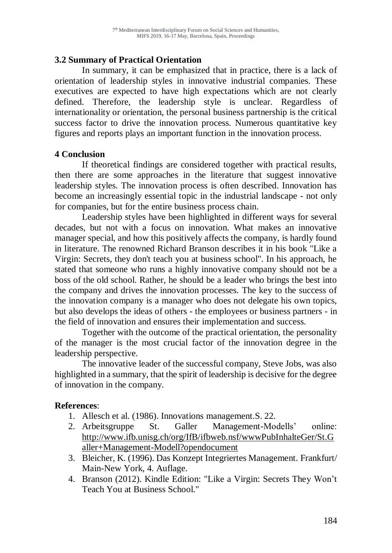#### **3.2 Summary of Practical Orientation**

In summary, it can be emphasized that in practice, there is a lack of orientation of leadership styles in innovative industrial companies. These executives are expected to have high expectations which are not clearly defined. Therefore, the leadership style is unclear. Regardless of internationality or orientation, the personal business partnership is the critical success factor to drive the innovation process. Numerous quantitative key figures and reports plays an important function in the innovation process.

#### **4 Conclusion**

If theoretical findings are considered together with practical results, then there are some approaches in the literature that suggest innovative leadership styles. The innovation process is often described. Innovation has become an increasingly essential topic in the industrial landscape - not only for companies, but for the entire business process chain.

Leadership styles have been highlighted in different ways for several decades, but not with a focus on innovation. What makes an innovative manager special, and how this positively affects the company, is hardly found in literature. The renowned Richard Branson describes it in his book "Like a Virgin: Secrets, they don't teach you at business school". In his approach, he stated that someone who runs a highly innovative company should not be a boss of the old school. Rather, he should be a leader who brings the best into the company and drives the innovation processes. The key to the success of the innovation company is a manager who does not delegate his own topics, but also develops the ideas of others - the employees or business partners - in the field of innovation and ensures their implementation and success.

Together with the outcome of the practical orientation, the personality of the manager is the most crucial factor of the innovation degree in the leadership perspective.

The innovative leader of the successful company, Steve Jobs, was also highlighted in a summary, that the spirit of leadership is decisive for the degree of innovation in the company.

#### **References**:

- 1. Allesch et al. (1986). Innovations management.S. 22.
- 2. Arbeitsgruppe St. Galler Management-Modells' online: [http://www.ifb.unisg.ch/org/IfB/ifbweb.nsf/wwwPubInhalteGer/St.G](http://www.ifb.unisg.ch/org/IfB/ifbweb.nsf/wwwPubInhalteGer/St.Galler+Management-Modell?opendocument) [aller+Management-Modell?opendocument](http://www.ifb.unisg.ch/org/IfB/ifbweb.nsf/wwwPubInhalteGer/St.Galler+Management-Modell?opendocument)
- 3. Bleicher, K. (1996). Das Konzept Integriertes Management. Frankfurt/ Main-New York, 4. Auflage.
- 4. Branson (2012). Kindle Edition: "Like a Virgin: Secrets They Won't Teach You at Business School."